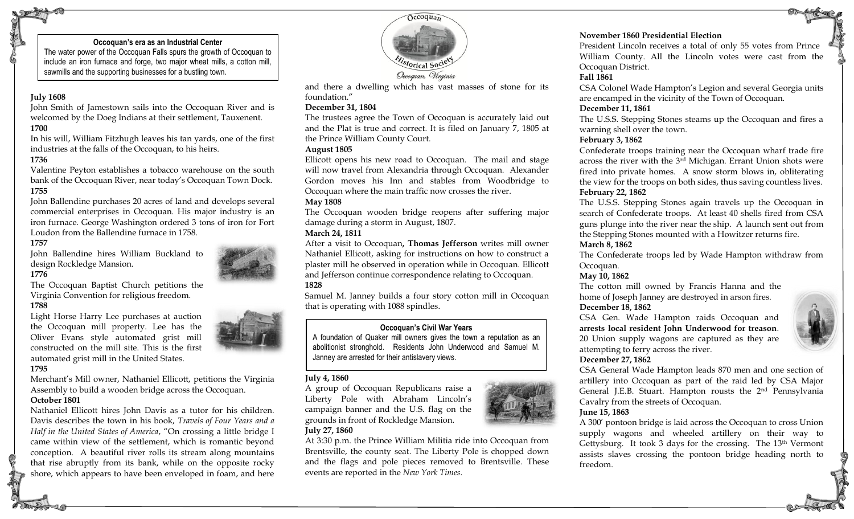#### **Occoquan's era as an Industrial Center**

The water power of the Occoquan Falls spurs the growth of Occoquan to include an iron furnace and forge, two major wheat mills, a cotton mill, sawmills and the supporting businesses for a bustling town.

## **July 1608**

John Smith of Jamestown sails into the Occoquan River and is welcomed by the Doeg Indians at their settlement, Tauxenent. **1700**

In his will, William Fitzhugh leaves his tan yards, one of the first industries at the falls of the Occoquan, to his heirs.

#### **1736**

Valentine Peyton establishes a tobacco warehouse on the south bank of the Occoquan River, near today's Occoquan Town Dock. **1755**

John Ballendine purchases 20 acres of land and develops several commercial enterprises in Occoquan. His major industry is an iron furnace. George Washington ordered 3 tons of iron for Fort Loudon from the Ballendine furnace in 1758.

#### **1757**

John Ballendine hires William Buckland to design Rockledge Mansion.

# **1776**

The Occoquan Baptist Church petitions the Virginia Convention for religious freedom.

# **1788**

Light Horse Harry Lee purchases at auction the Occoquan mill property. Lee has the Oliver Evans style automated grist mill constructed on the mill site. This is the first automated grist mill in the United States.

#### **1795**

Merchant's Mill owner, Nathaniel Ellicott, petitions the Virginia Assembly to build a wooden bridge across the Occoquan.

# **October 1801**

Nathaniel Ellicott hires John Davis as a tutor for his children. Davis describes the town in his book, *Travels of Four Years and a Half in the United States of America*, "On crossing a little bridge I came within view of the settlement, which is romantic beyond conception. A beautiful river rolls its stream along mountains that rise abruptly from its bank, while on the opposite rocky shore, which appears to have been enveloped in foam, and here



and there a dwelling which has vast masses of stone for its foundation."

#### **December 31, 1804**

The trustees agree the Town of Occoquan is accurately laid out and the Plat is true and correct. It is filed on January 7, 1805 at the Prince William County Court.

#### **August 1805**

Ellicott opens his new road to Occoquan. The mail and stage will now travel from Alexandria through Occoquan. Alexander Gordon moves his Inn and stables from Woodbridge to Occoquan where the main traffic now crosses the river.

#### **May 1808**

The Occoquan wooden bridge reopens after suffering major damage during a storm in August, 1807.

#### **March 24, 1811**

After a visit to Occoquan**, Thomas Jefferson** writes mill owner Nathaniel Ellicott, asking for instructions on how to construct a plaster mill he observed in operation while in Occoquan. Ellicott and Jefferson continue correspondence relating to Occoquan. **1828**

Samuel M. Janney builds a four story cotton mill in Occoquan that is operating with 1088 spindles.

# **Occoquan's Civil War Years**

A foundation of Quaker mill owners gives the town a reputation as an abolitionist stronghold. Residents John Underwood and Samuel M. Janney are arrested for their antislavery views.

# **July 4, 1860**

A group of Occoquan Republicans raise a Liberty Pole with Abraham Lincoln's campaign banner and the U.S. flag on the grounds in front of Rockledge Mansion. **July 27, 1860**



# **November 1860 Presidential Election**

President Lincoln receives a total of only 55 votes from Prince William County. All the Lincoln votes were cast from the Occoquan District.

# **Fall 1861**

CSA Colonel Wade Hampton's Legion and several Georgia units are encamped in the vicinity of the Town of Occoquan.

### **December 11, 1861**

The U.S.S. Stepping Stones steams up the Occoquan and fires a warning shell over the town.

### **February 3, 1862**

Confederate troops training near the Occoquan wharf trade fire across the river with the 3rd Michigan. Errant Union shots were fired into private homes. A snow storm blows in, obliterating the view for the troops on both sides, thus saving countless lives. **February 22, 1862**

The U.S.S. Stepping Stones again travels up the Occoquan in search of Confederate troops. At least 40 shells fired from CSA guns plunge into the river near the ship. A launch sent out from the Stepping Stones mounted with a Howitzer returns fire.

# **March 8, 1862**

The Confederate troops led by Wade Hampton withdraw from Occoquan.

# **May 10, 1862**

The cotton mill owned by Francis Hanna and the home of Joseph Janney are destroyed in arson fires.

# **December 18, 1862**

CSA Gen. Wade Hampton raids Occoquan and **arrests local resident John Underwood for treason**. 20 Union supply wagons are captured as they are attempting to ferry across the river.

# **December 27, 1862**

CSA General Wade Hampton leads 870 men and one section of artillery into Occoquan as part of the raid led by CSA Major General J.E.B. Stuart. Hampton rousts the 2nd Pennsylvania Cavalry from the streets of Occoquan.

# **June 15, 1863**

A 300' pontoon bridge is laid across the Occoquan to cross Union supply wagons and wheeled artillery on their way to Gettysburg. It took 3 days for the crossing. The 13th Vermont assists slaves crossing the pontoon bridge heading north to freedom.